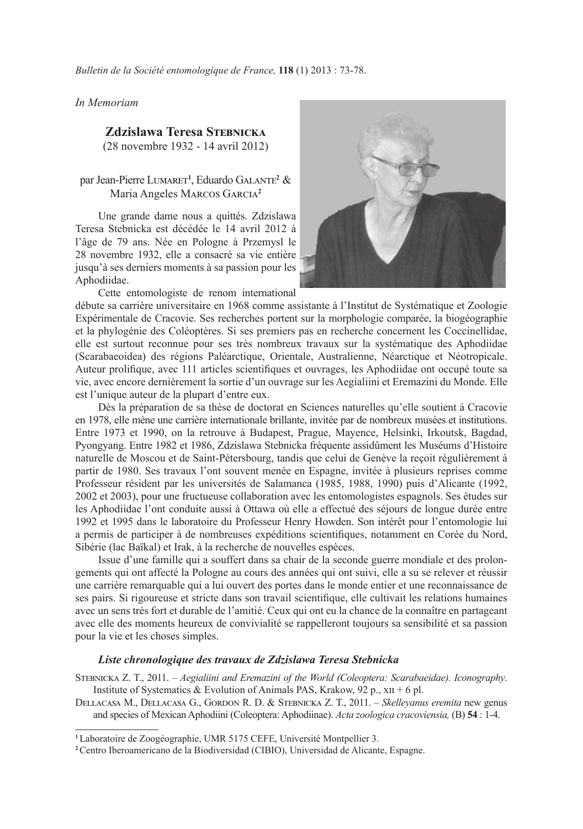*Bulletin de la Société entomologique de France,* **118** (1) 2013 : 73-78.

*In Memoriam*

## **Zdzislawa Teresa Stebnicka**

(28 novembre 1932 - 14 avril 2012)

## par Jean-Pierre Lumaret**<sup>1</sup>** , Eduardo Galante**<sup>2</sup>** & Maria Angeles Marcos Garcia**<sup>2</sup>**

Une grande dame nous a quittés. Zdzislawa Teresa Stebnicka est décédée le 14 avril 2012 à l'âge de 79 ans. Née en Pologne à Przemysl le 28 novembre 1932, elle a consacré sa vie entière jusqu'à ses derniers moments à sa passion pour les Aphodiidae.

Cette entomologiste de renom international



débute sa carrière universitaire en 1968 comme assistante à l'Institut de Systématique et Zoologie Expérimentale de Cracovie. Ses recherches portent sur la morphologie comparée, la biogéographie et la phylogénie des Coléoptères. Si ses premiers pas en recherche concernent les Coccinellidae, elle est surtout reconnue pour ses très nombreux travaux sur la systématique des Aphodiidae (Scarabaeoidea) des régions Paléarctique, Orientale, Australienne, Néarctique et Néotropicale. Auteur prolifique, avec 111 articles scientifiques et ouvrages, les Aphodiidae ont occupé toute sa vie, avec encore dernièrement la sortie d'un ouvrage sur les Aegialiini et Eremazini du Monde. Elle est l'unique auteur de la plupart d'entre eux.

Dès la préparation de sa thèse de doctorat en Sciences naturelles qu'elle soutient à Cracovie en 1978, elle mène une carrière internationale brillante, invitée par de nombreux musées et institutions. Entre 1973 et 1990, on la retrouve à Budapest, Prague, Mayence, Helsinki, Irkoutsk, Bagdad, Pyongyang. Entre 1982 et 1986, Zdzislawa Stebnicka fréquente assidûment les Muséums d'Histoire naturelle de Moscou et de Saint-Pétersbourg, tandis que celui de Genève la reçoit régulièrement à partir de 1980. Ses travaux l'ont souvent menée en Espagne, invitée à plusieurs reprises comme Professeur résident par les universités de Salamanca (1985, 1988, 1990) puis d'Alicante (1992, 2002 et 2003), pour une fructueuse collaboration avec les entomologistes espagnols. Ses études sur les Aphodiidae l'ont conduite aussi à Ottawa où elle a effectué des séjours de longue durée entre 1992 et 1995 dans le laboratoire du Professeur Henry Howden. Son intérêt pour l'entomologie lui a permis de participer à de nombreuses expéditions scientifiques, notamment en Corée du Nord, Sibérie (lac Baïkal) et Irak, à la recherche de nouvelles espèces.

Issue d'une famille qui a souffert dans sa chair de la seconde guerre mondiale et des prolongements qui ont affecté la Pologne au cours des années qui ont suivi, elle a su se relever et réussir une carrière remarquable qui a lui ouvert des portes dans le monde entier et une reconnaissance de ses pairs. Si rigoureuse et stricte dans son travail scientifique, elle cultivait les relations humaines avec un sens très fort et durable de l'amitié. Ceux qui ont eu la chance de la connaître en partageant avec elle des moments heureux de convivialité se rappelleront toujours sa sensibilité et sa passion pour la vie et les choses simples.

## *Liste chronologique des travaux de Zdzislawa Teresa Stebnicka*

Stebnicka Z. T., 2011. – *Aegialiini and Eremazini of the World (Coleoptera: Scarabaeidae). Iconography*. Institute of Systematics & Evolution of Animals PAS, Krakow, 92 p.,  $xII + 6$  pl.

Dellacasa M., Dellacasa G., Gordon R. D. & Stebnicka Z. T., 2011. – *Skelleyanus eremita* new genus and species of Mexican Aphodiini (Coleoptera: Aphodiinae). *Acta zoologica cracoviensia,* (B) **54** : 1-4.

**<sup>1</sup>**Laboratoire de Zoogéographie, UMR 5175 CEFE, Université Montpellier 3.

**<sup>2</sup>**Centro Iberoamericano de la Biodiversidad (CIBIO), Universidad de Alicante, Espagne.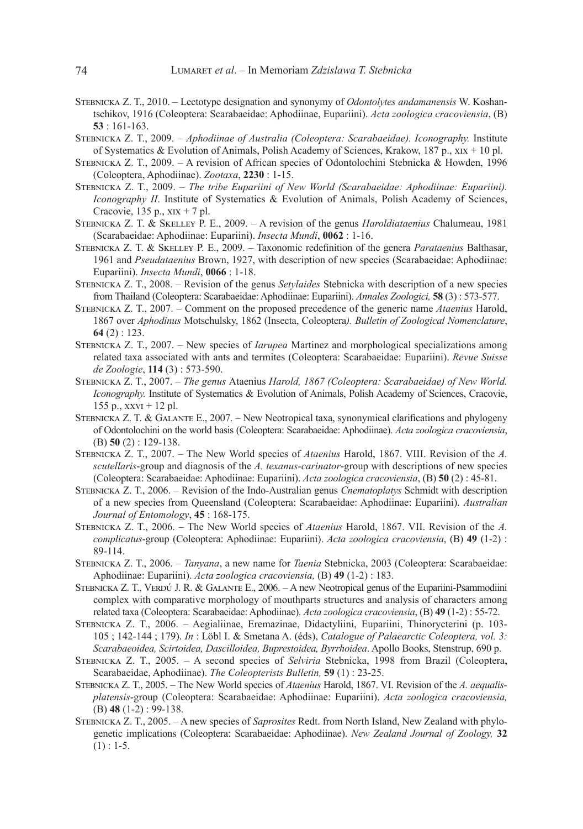- Stebnicka Z. T., 2010. Lectotype designation and synonymy of *Odontolytes andamanensis* W. Koshantschikov, 1916 (Coleoptera: Scarabaeidae: Aphodiinae, Eupariini). *Acta zoologica cracoviensia*, (B) **53** : 161-163.
- Stebnicka Z. T., 2009. *Aphodiinae of Australia (Coleoptera: Scarabaeidae). Iconography.* Institute of Systematics & Evolution of Animals, Polish Academy of Sciences, Krakow, 187 p.,  $x_{1}x + 10$  pl.
- Stebnicka Z. T., 2009. A revision of African species of Odontolochini Stebnicka & Howden, 1996 (Coleoptera, Aphodiinae). *Zootaxa*, **2230** : 1-15.
- Stebnicka Z. T., 2009. *The tribe Eupariini of New World (Scarabaeidae: Aphodiinae: Eupariini). Iconography II*. Institute of Systematics & Evolution of Animals, Polish Academy of Sciences, Cracovie,  $135$  p.,  $xix + 7$  pl.
- Stebnicka Z. T. & Skelley P. E., 2009. A revision of the genus *Haroldiataenius* Chalumeau, 1981 (Scarabaeidae: Aphodiinae: Eupariini). *Insecta Mundi*, **0062** : 1-16.
- Stebnicka Z. T. & Skelley P. E., 2009. Taxonomic redefinition of the genera *Parataenius* Balthasar, 1961 and *Pseudataenius* Brown, 1927, with description of new species (Scarabaeidae: Aphodiinae: Eupariini). *Insecta Mundi*, **0066** : 1-18.
- Stebnicka Z. T., 2008. Revision of the genus *Setylaides* Stebnicka with description of a new species from Thailand (Coleoptera: Scarabaeidae: Aphodiinae: Eupariini). *Annales Zoologici,* **58** (3) : 573-577.
- Stebnicka Z. T., 2007. Comment on the proposed precedence of the generic name *Ataenius* Harold, 1867 over *Aphodinus* Motschulsky, 1862 (Insecta, Coleoptera*). Bulletin of Zoological Nomenclature*, **64** (2) : 123.
- Stebnicka Z. T., 2007. New species of *Iarupea* Martinez and morphological specializations among related taxa associated with ants and termites (Coleoptera: Scarabaeidae: Eupariini). *Revue Suisse de Zoologie*, **114** (3) : 573-590.
- Stebnicka Z. T., 2007. *The genus* Ataenius *Harold, 1867 (Coleoptera: Scarabaeidae) of New World. Iconography.* Institute of Systematics & Evolution of Animals, Polish Academy of Sciences, Cracovie, 155 p.,  $xxvt + 12$  pl.
- STEBNICKA Z. T. & GALANTE E., 2007. New Neotropical taxa, synonymical clarifications and phylogeny of Odontolochini on the world basis (Coleoptera: Scarabaeidae: Aphodiinae). *Acta zoologica cracoviensia*, (B) **50** (2) : 129-138.
- Stebnicka Z. T., 2007. The New World species of *Ataenius* Harold, 1867. VIII. Revision of the *A. scutellaris*-group and diagnosis of the *A. texanus-carinator*-group with descriptions of new species (Coleoptera: Scarabaeidae: Aphodiinae: Eupariini). *Acta zoologica cracoviensia*, (B) **50** (2) : 45-81.
- Stebnicka Z. T., 2006. Revision of the Indo-Australian genus *Cnematoplatys* Schmidt with description of a new species from Queensland (Coleoptera: Scarabaeidae: Aphodiinae: Eupariini). *Australian Journal of Entomology*, **45** : 168-175.
- Stebnicka Z. T., 2006. The New World species of *Ataenius* Harold, 1867. VII. Revision of the *A. complicatus*-group (Coleoptera: Aphodiinae: Eupariini). *Acta zoologica cracoviensia*, (B) **49** (1-2) : 89-114.
- Stebnicka Z. T., 2006. *Tanyana*, a new name for *Taenia* Stebnicka, 2003 (Coleoptera: Scarabaeidae: Aphodiinae: Eupariini). *Acta zoologica cracoviensia,* (B) **49** (1-2) : 183.
- STEBNICKA Z. T., VERDÚ J. R. & GALANTE E., 2006. A new Neotropical genus of the Eupariini-Psammodiini complex with comparative morphology of mouthparts structures and analysis of characters among related taxa (Coleoptera: Scarabaeidae: Aphodiinae). *Acta zoologica cracoviensia*, (B) **49** (1-2) : 55-72.
- Stebnicka Z. T., 2006. Aegialiinae, Eremazinae, Didactyliini, Eupariini, Thinorycterini (p. 103- 105 ; 142-144 ; 179). *In* : Löbl I. & Smetana A. (éds), *Catalogue of Palaearctic Coleoptera, vol. 3: Scarabaeoidea, Scirtoidea, Dascilloidea, Buprestoidea, Byrrhoidea*. Apollo Books, Stenstrup, 690 p.
- Stebnicka Z. T., 2005. A second species of *Selviria* Stebnicka, 1998 from Brazil (Coleoptera, Scarabaeidae, Aphodiinae). *The Coleopterists Bulletin,* **59** (1) : 23-25.
- Stebnicka Z. T., 2005. The New World species of *Ataenius* Harold, 1867. VI. Revision of the *A. aequalisplatensis*-group (Coleoptera: Scarabaeidae: Aphodiinae: Eupariini). *Acta zoologica cracoviensia,*  (B) **48** (1-2) : 99-138.
- Stebnicka Z. T., 2005. A new species of *Saprosites* Redt. from North Island, New Zealand with phylogenetic implications (Coleoptera: Scarabaeidae: Aphodiinae). *New Zealand Journal of Zoology,* **32**  $(1)$  : 1-5.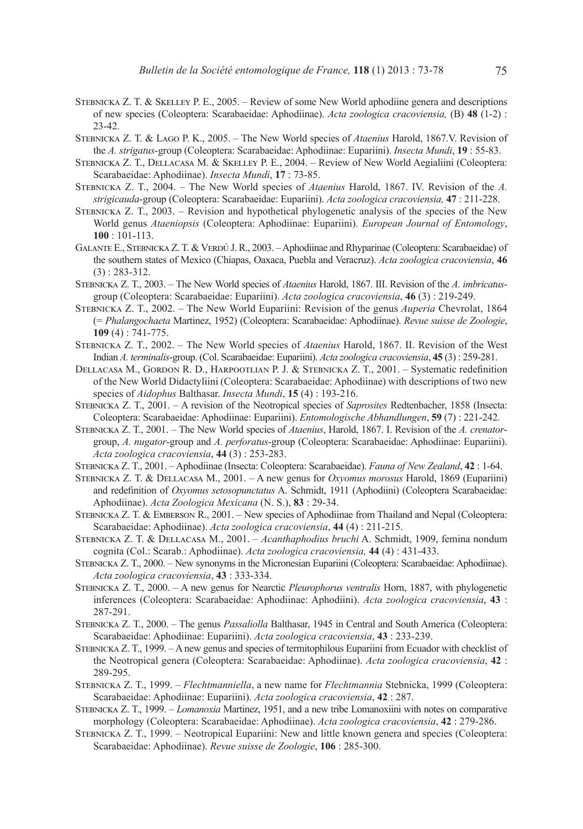- Stebnicka Z. T. & Skelley P. E., 2005. Review of some New World aphodiine genera and descriptions of new species (Coleoptera: Scarabaeidae: Aphodiinae). *Acta zoologica cracoviensia,* (B) **48** (1-2) : 23-42.
- Stebnicka Z. T. & Lago P. K., 2005. The New World species of *Ataenius* Harold, 1867.V. Revision of the *A. strigatus*-group (Coleoptera: Scarabaeidae: Aphodiinae: Eupariini). *Insecta Mundi*, **19** : 55-83.
- Stebnicka Z. T., Dellacasa M. & Skelley P. E., 2004. Review of New World Aegialiini (Coleoptera: Scarabaeidae: Aphodiinae). *Insecta Mundi*, **17** : 73-85.
- Stebnicka Z. T., 2004. The New World species of *Ataenius* Harold, 1867. IV. Revision of the *A. strigicauda*-group (Coleoptera: Scarabaeidae: Eupariini). *Acta zoologica cracoviensia,* **47** : 211-228.
- Stebnicka Z. T., 2003. Revision and hypothetical phylogenetic analysis of the species of the New World genus *Ataeniopsis* (Coleoptera: Aphodiinae: Eupariini). *European Journal of Entomology*, **100** : 101-113.
- GALANTE E., STEBNICKA Z. T. & VERDÚ J. R., 2003. Aphodiinae and Rhyparinae (Coleoptera: Scarabaeidae) of the southern states of Mexico (Chiapas, Oaxaca, Puebla and Veracruz). *Acta zoologica cracoviensia*, **46**  (3) : 283-312.
- Stebnicka Z. T., 2003. The New World species of *Ataenius* Harold, 1867. III. Revision of the *A. imbricatus*group (Coleoptera: Scarabaeidae: Eupariini). *Acta zoologica cracoviensia*, **46** (3) : 219-249.
- Stebnicka Z. T., 2002. The New World Eupariini: Revision of the genus *Auperia* Chevrolat, 1864 (= *Phalangochaeta* Martinez, 1952) (Coleoptera: Scarabaeidae: Aphodiinae). *Revue suisse de Zoologie*, **109** (4) : 741-775.
- Stebnicka Z. T., 2002. The New World species of *Ataenius* Harold, 1867. II. Revision of the West Indian *A. terminalis*-group. (Col. Scarabaeidae: Eupariini). *Acta zoologica cracoviensia*, **45** (3) : 259-281.
- Dellacasa M., Gordon R. D., Harpootlian P. J. & Stebnicka Z. T., 2001. Systematic redefinition of the New World Didactyliini (Coleoptera: Scarabaeidae: Aphodiinae) with descriptions of two new species of *Aidophus* Balthasar. *Insecta Mundi*, **15** (4) : 193-216.
- Stebnicka Z. T., 2001. A revision of the Neotropical species of *Saprosites* Redtenbacher, 1858 (Insecta: Coleoptera: Scarabaeidae: Aphodiinae: Eupariini). *Entomologische Abhandlungen*, **59** (7) : 221-242.
- Stebnicka Z. T., 2001. The New World species of *Ataenius*, Harold, 1867. I. Revision of the *A. crenator*group, *A. nugator*-group and *A. perforatus*-group (Coleoptera: Scarabaeidae: Aphodiinae: Eupariini). *Acta zoologica cracoviensia*, **44** (3) : 253-283.
- Stebnicka Z. T., 2001. Aphodiinae (Insecta: Coleoptera: Scarabaeidae). *Fauna of New Zealand*, **42** : 1-64.
- Stebnicka Z. T. & Dellacasa M., 2001. A new genus for *Oxyomus morosus* Harold, 1869 (Eupariini) and redefinition of *Oxyomus setosopunctatus* A. Schmidt, 1911 (Aphodiini) (Coleoptera Scarabaeidae: Aphodiinae). *Acta Zoologica Mexicana* (N. S.), **83** : 29-34.
- Stebnicka Z. T. & Emberson R., 2001. New species of Aphodiinae from Thailand and Nepal (Coleoptera: Scarabaeidae: Aphodiinae). *Acta zoologica cracoviensia*, **44** (4) : 211-215.
- Stebnicka Z. T. & Dellacasa M., 2001. *Acanthaphodius bruchi* A. Schmidt, 1909, femina nondum cognita (Col.: Scarab.: Aphodiinae). *Acta zoologica cracoviensia,* **44** (4) : 431-433.
- Stebnicka Z. T., 2000. New synonyms in the Micronesian Eupariini (Coleoptera: Scarabaeidae: Aphodiinae). *Acta zoologica cracoviensia*, **43** : 333-334.
- Stebnicka Z. T., 2000. A new genus for Nearctic *Pleurophorus ventralis* Horn, 1887, with phylogenetic inferences (Coleoptera: Scarabaeidae: Aphodiinae: Aphodiini). *Acta zoologica cracoviensia*, **43** : 287-291.
- Stebnicka Z. T., 2000. The genus *Passaliolla* Balthasar, 1945 in Central and South America (Coleoptera: Scarabaeidae: Aphodiinae: Eupariini). *Acta zoologica cracoviensia*, **43** : 233-239.
- STEBNICKA Z. T., 1999. A new genus and species of termitophilous Eupariini from Ecuador with checklist of the Neotropical genera (Coleoptera: Scarabaeidae: Aphodiinae). *Acta zoologica cracoviensia*, **42** : 289-295.
- Stebnicka Z. T., 1999. *Flechtmanniella*, a new name for *Flechtmannia* Stebnicka, 1999 (Coleoptera: Scarabaeidae: Aphodiinae: Eupariini). *Acta zoologica cracoviensia*, **42** : 287.
- STEBNICKA Z. T., 1999. *Lomanoxia* Martinez, 1951, and a new tribe Lomanoxiini with notes on comparative morphology (Coleoptera: Scarabaeidae: Aphodiinae). *Acta zoologica cracoviensia*, **42** : 279-286.
- STEBNICKA Z. T., 1999. Neotropical Eupariini: New and little known genera and species (Coleoptera: Scarabaeidae: Aphodiinae). *Revue suisse de Zoologie*, **106** : 285-300.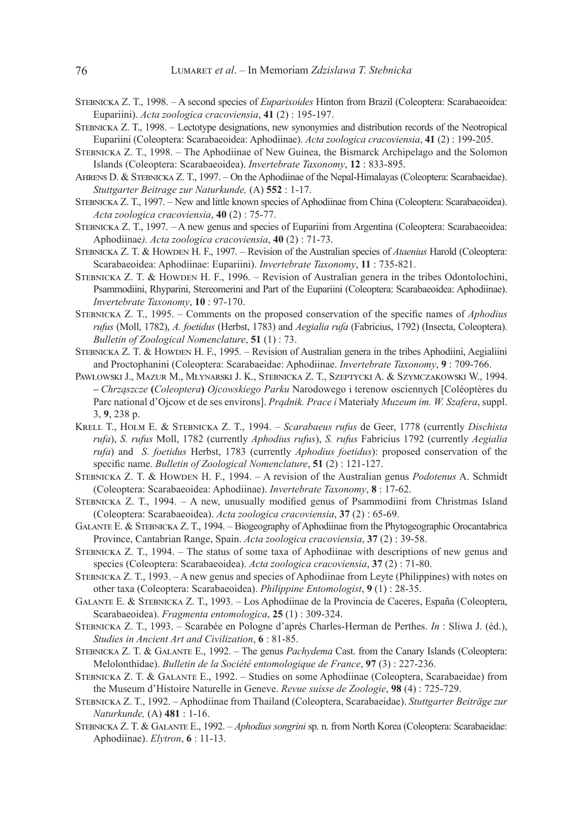- Stebnicka Z. T., 1998. A second species of *Euparixoides* Hinton from Brazil (Coleoptera: Scarabaeoidea: Eupariini). *Acta zoologica cracoviensia*, **41** (2) : 195-197.
- Stebnicka Z. T., 1998. Lectotype designations, new synonymies and distribution records of the Neotropical Eupariini (Coleoptera: Scarabaeoidea: Aphodiinae). *Acta zoologica cracoviensia*, **41** (2) : 199-205.
- Stebnicka Z. T., 1998. The Aphodiinae of New Guinea, the Bismarck Archipelago and the Solomon Islands (Coleoptera: Scarabaeoidea). *Invertebrate Taxonomy*, **12** : 833-895.
- Ahrens D. & Stebnicka Z. T., 1997. On the Aphodiinae of the Nepal-Himalayas (Coleoptera: Scarabaeidae). *Stuttgarter Beitrage zur Naturkunde,* (A) **552** : 1-17.
- STEBNICKA Z. T., 1997. New and little known species of Aphodiinae from China (Coleoptera: Scarabaeoidea). *Acta zoologica cracoviensia*, **40** (2) : 75-77.
- Stebnicka Z. T., 1997. A new genus and species of Eupariini from Argentina (Coleoptera: Scarabaeoidea: Aphodiinae*). Acta zoologica cracoviensia*, **40** (2) : 71-73.
- Stebnicka Z. T. & Howden H. F., 1997. Revision of the Australian species of *Ataenius* Harold (Coleoptera: Scarabaeoidea: Aphodiinae: Eupariini). *Invertebrate Taxonomy*, **11** : 735-821.
- STEBNICKA Z. T. & HOWDEN H. F., 1996. Revision of Australian genera in the tribes Odontolochini, Psammodiini, Rhyparini, Stereomerini and Part of the Eupariini (Coleoptera: Scarabaeoidea: Aphodiinae). *Invertebrate Taxonomy*, **10** : 97-170.
- Stebnicka Z. T., 1995. Comments on the proposed conservation of the specific names of *Aphodius rufus* (Moll, 1782), *A. foetidus* (Herbst, 1783) and *Aegialia rufa* (Fabricius, 1792) (Insecta, Coleoptera). *Bulletin of Zoological Nomenclature*, **51** (1) : 73.
- STEBNICKA Z. T. & HOWDEN H. F., 1995. Revision of Australian genera in the tribes Aphodiini, Aegialiini and Proctophanini (Coleoptera: Scarabaeidae: Aphodiinae. *Invertebrate Taxonomy*, **9** : 709-766.
- Pawłowski J., Mazur M., Młynarski J. K., Stebnicka Z. T., Szeptycki A. & Szymczakowski W., 1994. **–** *Chrząszcze* **(***Coleoptera***)** *Ojcowskiego Parku* Narodowego i terenow osciennych [Coléoptères du Parc national d'Ojcow et de ses environs]. *Prądnik. Prace i* Materiały *Muzeum im. W. Szafera*, suppl. 3, **9**, 238 p.
- Krell T., Holm E. & Stebnicka Z. T., 1994. *Scarabaeus rufus* de Geer, 1778 (currently *Dischista rufa*), *S. rufus* Moll, 1782 (currently *Aphodius rufus*), *S. rufus* Fabricius 1792 (currently *Aegialia rufa*) and *S. foetidus* Herbst, 1783 (currently *Aphodius foetidus*): proposed conservation of the specific name. *Bulletin of Zoological Nomenclature*, **51** (2) : 121-127.
- STEBNICKA Z. T. & HOWDEN H. F., 1994. A revision of the Australian genus *Podotenus* A. Schmidt (Coleoptera: Scarabaeoidea: Aphodiinae). *Invertebrate Taxonomy*, **8** : 17-62.
- Stebnicka Z. T., 1994. A new, unusually modified genus of Psammodiini from Christmas Island (Coleoptera: Scarabaeoidea). *Acta zoologica cracoviensia*, **37** (2) : 65-69.
- Galante E. & Stebnicka Z. T., 1994. Biogeography of Aphodiinae from the Phytogeographic Orocantabrica Province, Cantabrian Range, Spain. *Acta zoologica cracoviensia*, **37** (2) : 39-58.
- Stebnicka Z. T., 1994. The status of some taxa of Aphodiinae with descriptions of new genus and species (Coleoptera: Scarabaeoidea). *Acta zoologica cracoviensia*, **37** (2) : 71-80.
- Stebnicka Z. T., 1993. A new genus and species of Aphodiinae from Leyte (Philippines) with notes on other taxa (Coleoptera: Scarabaeoidea). *Philippine Entomologist*, **9** (1) : 28-35.
- Galante E. & Stebnicka Z. T., 1993. Los Aphodiinae de la Provincia de Caceres, España (Coleoptera, Scarabaeoidea). *Fragmenta entomologica*, **25** (1) : 309-324.
- Stebnicka Z. T., 1993. Scarabée en Pologne d'après Charles-Herman de Perthes. *In* : Sliwa J. (éd.), *Studies in Ancient Art and Civilization*, **6** : 81-85.
- Stebnicka Z. T. & Galante E., 1992. The genus *Pachydema* Cast. from the Canary Islands (Coleoptera: Melolonthidae). *Bulletin de la Société entomologique de France*, **97** (3) : 227-236.
- Stebnicka Z. T. & Galante E., 1992. Studies on some Aphodiinae (Coleoptera, Scarabaeidae) from the Museum d'Histoire Naturelle in Geneve. *Revue suisse de Zoologie*, **98** (4) : 725-729.
- Stebnicka Z. T., 1992. Aphodiinae from Thailand (Coleoptera, Scarabaeidae). *Stuttgarter Beiträge zur Naturkunde,* (A) **481** : 1-16.
- Stebnicka Z. T. & Galante E., 1992. *Aphodius songrini* sp. n. from North Korea (Coleoptera: Scarabaeidae: Aphodiinae). *Elytron*, **6** : 11-13.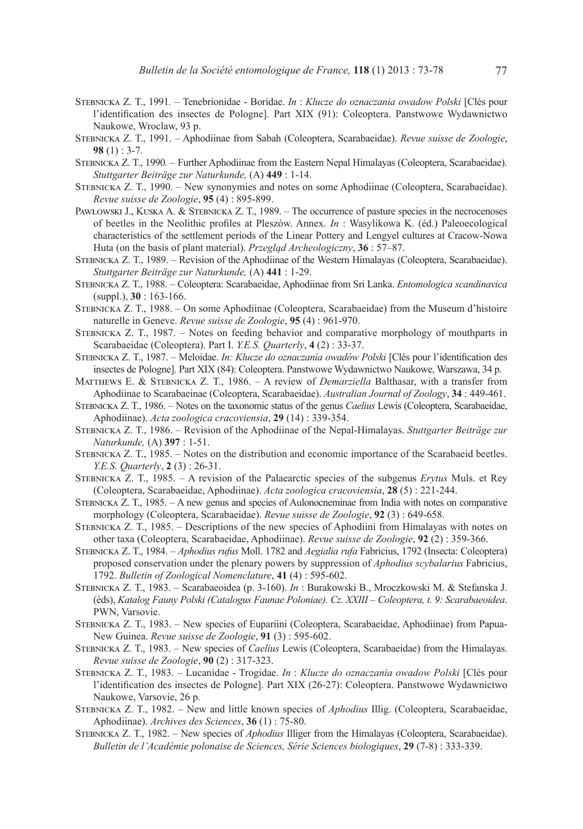- Stebnicka Z. T., 1991*.* Tenebrionidae Boridae. *In* : *Klucze do oznaczania owadow Polski* [Clés pour l'identification des insectes de Pologne]. Part XIX (91): Coleoptera. Panstwowe Wydawnictwo Naukowe, Wroclaw, 93 p.
- Stebnicka Z. T., 1991. Aphodiinae from Sabah (Coleoptera, Scarabaeidae). *Revue suisse de Zoologie*, **98** (1) : 3-7.
- Stebnicka Z. T., 1990*.* Further Aphodiinae from the Eastern Nepal Himalayas (Coleoptera, Scarabaeidae)*. Stuttgarter Beiträge zur Naturkunde,* (A) **449** : 1-14.
- Stebnicka Z. T., 1990. New synonymies and notes on some Aphodiinae (Coleoptera, Scarabaeidae). *Revue suisse de Zoologie*, **95** (4) : 895-899.
- PAWŁOWSKI J., KUSKA A. & STEBNICKA Z. T., 1989. The occurrence of pasture species in the necrocenoses of beetles in the Neolithic profiles at Pleszów. Annex. *In* : Wasylikowa K. (éd.) Paleoecological characteristics of the settlement periods of the Linear Pottery and Lengyel cultures at Cracow-Nowa Huta (on the basis of plant material). *Przegląd Archeologiczny*, **36** : 57–87.
- Stebnicka Z. T., 1989. Revision of the Aphodiinae of the Western Himalayas (Coleoptera, Scarabaeidae). *Stuttgarter Beiträge zur Naturkunde,* (A) **441** : 1-29.
- Stebnicka Z. T., 1988. Coleoptera: Scarabaeidae, Aphodiinae from Sri Lanka. *Entomologica scandinavica* (suppl.), **30** : 163-166.
- Stebnicka Z. T., 1988. On some Aphodiinae (Coleoptera, Scarabaeidae) from the Museum d'histoire naturelle in Geneve. *Revue suisse de Zoologie*, **95** (4) : 961-970.
- Stebnicka Z. T., 1987. Notes on feeding behavior and comparative morphology of mouthparts in Scarabaeidae (Coleoptera). Part I. *Y.E.S. Quarterly*, **4** (2) : 33-37.
- Stebnicka Z. T., 1987. Meloidae. *In: Klucze do oznaczania owadów Polski* [Clés pour l'identification des insectes de Pologne]. Part XIX (84): Coleoptera. Panstwowe Wydawnictwo Naukowe, Warszawa, 34 p.
- Matthews E. & Stebnicka Z. T., 1986. A review of *Demarziella* Balthasar, with a transfer from Aphodiinae to Scarabaeinae (Coleoptera, Scarabaeidae). *Australian Journal of Zoology*, **34** : 449-461.
- Stebnicka Z. T., 1986. Notes on the taxonomic status of the genus *Caelius* Lewis (Coleoptera, Scarabaeidae, Aphodiinae). *Acta zoologica cracoviensia*, **29** (14) : 339-354.
- Stebnicka Z. T., 1986. Revision of the Aphodiinae of the Nepal-Himalayas. *Stuttgarter Beiträge zur Naturkunde,* (A) **397** : 1-51.
- Stebnicka Z. T., 1985. Notes on the distribution and economic importance of the Scarabaeid beetles. *Y.E.S. Quarterly*, **2** (3) : 26-31.
- Stebnicka Z. T., 1985. A revision of the Palaearctic species of the subgenus *Erytus* Muls. et Rey (Coleoptera, Scarabaeidae, Aphodiinae). *Acta zoologica cracoviensia*, **28** (5) : 221-244.
- Stebnicka Z. T., 1985. A new genus and species of Aulonocneminae from India with notes on comparative morphology (Coleoptera, Scarabaeidae). *Revue suisse de Zoologie*, **92** (3) : 649-658.
- Stebnicka Z. T., 1985. Descriptions of the new species of Aphodiini from Himalayas with notes on other taxa (Coleoptera, Scarabaeidae, Aphodiinae). *Revue suisse de Zoologie*, **92** (2) : 359-366.
- Stebnicka Z. T., 1984. *Aphodius rufus* Moll. 1782 and *Aegialia rufa* Fabricius, 1792 (Insecta: Coleoptera) proposed conservation under the plenary powers by suppression of *Aphodius scybalarius* Fabricius, 1792. *Bulletin of Zoological Nomenclature*, **41** (4) : 595-602.
- Stebnicka Z. T., 1983. Scarabaeoidea (p. 3-160). *In* : Burakowski B., Mroczkowski M. & Stefanska J. (éds), *Katalog Fauny Polski (Catalogus Faunae Poloniae). Cz. XXIII – Coleoptera, t. 9: Scarabaeoidea*. PWN, Varsovie.
- Stebnicka Z. T., 1983. New species of Eupariini (Coleoptera, Scarabaeidae, Aphodiinae) from Papua-New Guinea. *Revue suisse de Zoologie*, **91** (3) : 595-602.
- Stebnicka Z. T., 1983. New species of *Caelius* Lewis (Coleoptera, Scarabaeidae) from the Himalayas. *Revue suisse de Zoologie*, **90** (2) : 317-323.
- Stebnicka Z. T., 1983. Lucanidae Trogidae. *In* : *Klucze do oznaczania owadow Polski* [Clés pour l'identification des insectes de Pologne]. Part XIX (26-27): Coleoptera. Panstwowe Wydawnictwo Naukowe, Varsovie, 26 p.
- Stebnicka Z. T., 1982. New and little known species of *Aphodius* Illig. (Coleoptera, Scarabaeidae, Aphodiinae). *Archives des Sciences*, **36** (1) : 75-80.
- Stebnicka Z. T., 1982. New species of *Aphodius* Illiger from the Himalayas (Coleoptera, Scarabaeidae). *Bulletin de l'Académie polonaise de Sciences, Série Sciences biologiques*, **29** (7-8) : 333-339.